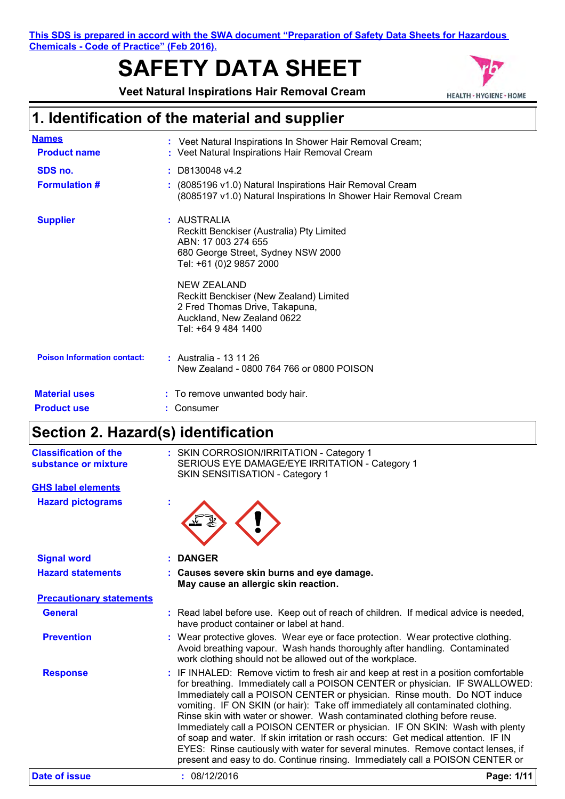**This SDS is prepared in accord with the SWA document "Preparation of Safety Data Sheets for Hazardous Chemicals - Code of Practice" (Feb 2016).**

# **SAFETY DATA SHEET**

**Veet Natural Inspirations Hair Removal Cream**



## **1. Identification of the material and supplier**

| <b>Names</b><br><b>Product name</b> | : Veet Natural Inspirations In Shower Hair Removal Cream;<br>: Veet Natural Inspirations Hair Removal Cream                                          |
|-------------------------------------|------------------------------------------------------------------------------------------------------------------------------------------------------|
| SDS no.                             | $:$ D8130048 v4.2                                                                                                                                    |
| <b>Formulation #</b>                | : (8085196 v1.0) Natural Inspirations Hair Removal Cream<br>(8085197 v1.0) Natural Inspirations In Shower Hair Removal Cream                         |
| <b>Supplier</b>                     | : AUSTRALIA<br>Reckitt Benckiser (Australia) Pty Limited<br>ABN: 17 003 274 655<br>680 George Street, Sydney NSW 2000<br>Tel: +61 (0)2 9857 2000     |
|                                     | <b>NEW ZEALAND</b><br>Reckitt Benckiser (New Zealand) Limited<br>2 Fred Thomas Drive, Takapuna,<br>Auckland, New Zealand 0622<br>Tel: +64 9 484 1400 |
| <b>Poison Information contact:</b>  | : Australia - 13 11 26<br>New Zealand - 0800 764 766 or 0800 POISON                                                                                  |
| <b>Material uses</b>                | : To remove unwanted body hair.                                                                                                                      |
| <b>Product use</b>                  | : Consumer                                                                                                                                           |

## **Section 2. Hazard(s) identification**

| <b>Classification of the</b><br>substance or mixture | : SKIN CORROSION/IRRITATION - Category 1<br>SERIOUS EYE DAMAGE/EYE IRRITATION - Category 1<br>SKIN SENSITISATION - Category 1                                                                                                                                                                                                                                                                                                                                                                                                                                                                                                                                                                                                                             |
|------------------------------------------------------|-----------------------------------------------------------------------------------------------------------------------------------------------------------------------------------------------------------------------------------------------------------------------------------------------------------------------------------------------------------------------------------------------------------------------------------------------------------------------------------------------------------------------------------------------------------------------------------------------------------------------------------------------------------------------------------------------------------------------------------------------------------|
| <b>GHS label elements</b>                            |                                                                                                                                                                                                                                                                                                                                                                                                                                                                                                                                                                                                                                                                                                                                                           |
| <b>Hazard pictograms</b>                             |                                                                                                                                                                                                                                                                                                                                                                                                                                                                                                                                                                                                                                                                                                                                                           |
| <b>Signal word</b>                                   | <b>DANGER</b>                                                                                                                                                                                                                                                                                                                                                                                                                                                                                                                                                                                                                                                                                                                                             |
| <b>Hazard statements</b>                             | : Causes severe skin burns and eye damage.<br>May cause an allergic skin reaction.                                                                                                                                                                                                                                                                                                                                                                                                                                                                                                                                                                                                                                                                        |
| <b>Precautionary statements</b>                      |                                                                                                                                                                                                                                                                                                                                                                                                                                                                                                                                                                                                                                                                                                                                                           |
| <b>General</b>                                       | : Read label before use. Keep out of reach of children. If medical advice is needed,<br>have product container or label at hand.                                                                                                                                                                                                                                                                                                                                                                                                                                                                                                                                                                                                                          |
| <b>Prevention</b>                                    | : Wear protective gloves. Wear eye or face protection. Wear protective clothing.<br>Avoid breathing vapour. Wash hands thoroughly after handling. Contaminated<br>work clothing should not be allowed out of the workplace.                                                                                                                                                                                                                                                                                                                                                                                                                                                                                                                               |
| <b>Response</b>                                      | : IF INHALED: Remove victim to fresh air and keep at rest in a position comfortable<br>for breathing. Immediately call a POISON CENTER or physician. IF SWALLOWED:<br>Immediately call a POISON CENTER or physician. Rinse mouth. Do NOT induce<br>vomiting. IF ON SKIN (or hair): Take off immediately all contaminated clothing.<br>Rinse skin with water or shower. Wash contaminated clothing before reuse.<br>Immediately call a POISON CENTER or physician. IF ON SKIN: Wash with plenty<br>of soap and water. If skin irritation or rash occurs: Get medical attention. IF IN<br>EYES: Rinse cautiously with water for several minutes. Remove contact lenses, if<br>present and easy to do. Continue rinsing. Immediately call a POISON CENTER or |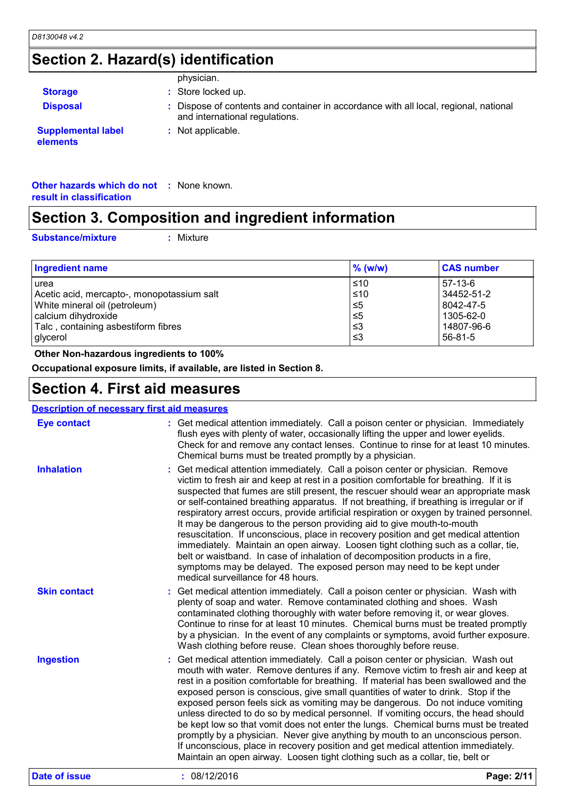### **Section 2. Hazard(s) identification**

|                                       | physician.                                                                                                             |
|---------------------------------------|------------------------------------------------------------------------------------------------------------------------|
| <b>Storage</b>                        | : Store locked up.                                                                                                     |
| <b>Disposal</b>                       | : Dispose of contents and container in accordance with all local, regional, national<br>and international regulations. |
| <b>Supplemental label</b><br>elements | : Not applicable.                                                                                                      |

**Other hazards which do not :** None known. **result in classification**

### **Section 3. Composition and ingredient information**

**Substance/mixture :**

Mixture

| Ingredient name                            | $%$ (w/w) | <b>CAS number</b> |
|--------------------------------------------|-----------|-------------------|
| urea                                       | $\leq 10$ | $57-13-6$         |
| Acetic acid, mercapto-, monopotassium salt | $≤10$     | 34452-51-2        |
| White mineral oil (petroleum)              | $\leq 5$  | 8042-47-5         |
| calcium dihydroxide                        | $\leq 5$  | 1305-62-0         |
| Talc, containing asbestiform fibres        | ו≥ ≥      | 14807-96-6        |
| glycerol                                   | -≤3       | $56 - 81 - 5$     |

 **Other Non-hazardous ingredients to 100%**

**Occupational exposure limits, if available, are listed in Section 8.**

### **Section 4. First aid measures**

#### Get medical attention immediately. Call a poison center or physician. Wash out mouth with water. Remove dentures if any. Remove victim to fresh air and keep at rest in a position comfortable for breathing. If material has been swallowed and the exposed person is conscious, give small quantities of water to drink. Stop if the exposed person feels sick as vomiting may be dangerous. Do not induce vomiting unless directed to do so by medical personnel. If vomiting occurs, the head should be kept low so that vomit does not enter the lungs. Chemical burns must be treated promptly by a physician. Never give anything by mouth to an unconscious person. If unconscious, place in recovery position and get medical attention immediately. Maintain an open airway. Loosen tight clothing such as a collar, tie, belt or Get medical attention immediately. Call a poison center or physician. Immediately **:** flush eyes with plenty of water, occasionally lifting the upper and lower eyelids. Check for and remove any contact lenses. Continue to rinse for at least 10 minutes. Chemical burns must be treated promptly by a physician. Get medical attention immediately. Call a poison center or physician. Wash with **:** plenty of soap and water. Remove contaminated clothing and shoes. Wash contaminated clothing thoroughly with water before removing it, or wear gloves. Continue to rinse for at least 10 minutes. Chemical burns must be treated promptly by a physician. In the event of any complaints or symptoms, avoid further exposure. Wash clothing before reuse. Clean shoes thoroughly before reuse. Get medical attention immediately. Call a poison center or physician. Remove **:** victim to fresh air and keep at rest in a position comfortable for breathing. If it is suspected that fumes are still present, the rescuer should wear an appropriate mask or self-contained breathing apparatus. If not breathing, if breathing is irregular or if respiratory arrest occurs, provide artificial respiration or oxygen by trained personnel. It may be dangerous to the person providing aid to give mouth-to-mouth resuscitation. If unconscious, place in recovery position and get medical attention immediately. Maintain an open airway. Loosen tight clothing such as a collar, tie, belt or waistband. In case of inhalation of decomposition products in a fire, symptoms may be delayed. The exposed person may need to be kept under medical surveillance for 48 hours. **Eye contact Skin contact Inhalation Ingestion : Description of necessary first aid measures Date of issue :** 08/12/2016 **Page: 2/11**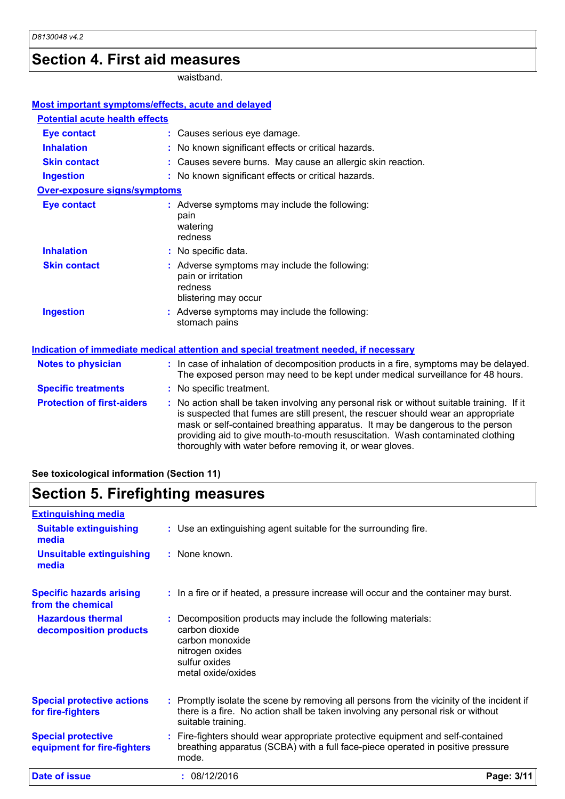### **Section 4. First aid measures**

waistband.

| <b>Most important symptoms/effects, acute and delayed</b> |                                                                                                                                                                                                                                                                                                                                                                                                                 |
|-----------------------------------------------------------|-----------------------------------------------------------------------------------------------------------------------------------------------------------------------------------------------------------------------------------------------------------------------------------------------------------------------------------------------------------------------------------------------------------------|
| <b>Potential acute health effects</b>                     |                                                                                                                                                                                                                                                                                                                                                                                                                 |
| <b>Eye contact</b>                                        | : Causes serious eye damage.                                                                                                                                                                                                                                                                                                                                                                                    |
| <b>Inhalation</b>                                         | : No known significant effects or critical hazards.                                                                                                                                                                                                                                                                                                                                                             |
| <b>Skin contact</b>                                       | : Causes severe burns. May cause an allergic skin reaction.                                                                                                                                                                                                                                                                                                                                                     |
| <b>Ingestion</b>                                          | : No known significant effects or critical hazards.                                                                                                                                                                                                                                                                                                                                                             |
| <b>Over-exposure signs/symptoms</b>                       |                                                                                                                                                                                                                                                                                                                                                                                                                 |
| <b>Eye contact</b>                                        | : Adverse symptoms may include the following:<br>pain<br>watering<br>redness                                                                                                                                                                                                                                                                                                                                    |
| <b>Inhalation</b>                                         | : No specific data.                                                                                                                                                                                                                                                                                                                                                                                             |
| <b>Skin contact</b>                                       | : Adverse symptoms may include the following:<br>pain or irritation<br>redness<br>blistering may occur                                                                                                                                                                                                                                                                                                          |
| <b>Ingestion</b>                                          | : Adverse symptoms may include the following:<br>stomach pains                                                                                                                                                                                                                                                                                                                                                  |
|                                                           | Indication of immediate medical attention and special treatment needed, if necessary                                                                                                                                                                                                                                                                                                                            |
| <b>Notes to physician</b>                                 | : In case of inhalation of decomposition products in a fire, symptoms may be delayed.<br>The exposed person may need to be kept under medical surveillance for 48 hours.                                                                                                                                                                                                                                        |
| <b>Specific treatments</b>                                | : No specific treatment.                                                                                                                                                                                                                                                                                                                                                                                        |
| <b>Protection of first-aiders</b>                         | : No action shall be taken involving any personal risk or without suitable training. If it<br>is suspected that fumes are still present, the rescuer should wear an appropriate<br>mask or self-contained breathing apparatus. It may be dangerous to the person<br>providing aid to give mouth-to-mouth resuscitation. Wash contaminated clothing<br>thoroughly with water before removing it, or wear gloves. |

#### **See toxicological information (Section 11)**

#### **Section 5. Firefighting measures Hazardous thermal decomposition products Specific hazards arising from the chemical** Decomposition products may include the following materials: **:** carbon dioxide carbon monoxide nitrogen oxides sulfur oxides metal oxide/oxides **:** In a fire or if heated, a pressure increase will occur and the container may burst. Use an extinguishing agent suitable for the surrounding fire. **: Extinguishing media :** None known. **Suitable extinguishing media Unsuitable extinguishing media**

| <b>Special protective actions</b><br>for fire-fighters   | : Promptly isolate the scene by removing all persons from the vicinity of the incident if<br>there is a fire. No action shall be taken involving any personal risk or without<br>suitable training. |            |
|----------------------------------------------------------|-----------------------------------------------------------------------------------------------------------------------------------------------------------------------------------------------------|------------|
| <b>Special protective</b><br>equipment for fire-fighters | : Fire-fighters should wear appropriate protective equipment and self-contained<br>breathing apparatus (SCBA) with a full face-piece operated in positive pressure<br>mode.                         |            |
| <b>Date of issue</b>                                     | : 08/12/2016                                                                                                                                                                                        | Page: 3/11 |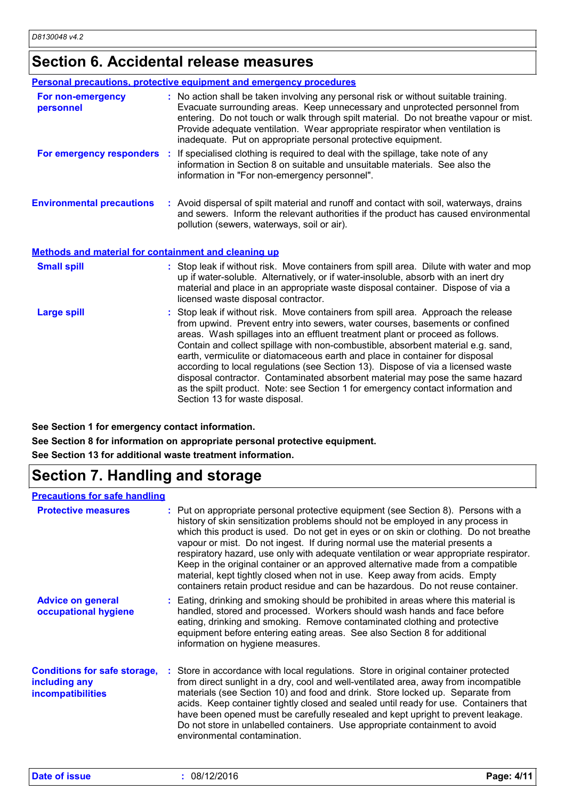## **Section 6. Accidental release measures**

|                                                             | Personal precautions, protective equipment and emergency procedures                                                                                                                                                                                                                                                                                                                                                                                                                                                                                                                                                                                                                                               |
|-------------------------------------------------------------|-------------------------------------------------------------------------------------------------------------------------------------------------------------------------------------------------------------------------------------------------------------------------------------------------------------------------------------------------------------------------------------------------------------------------------------------------------------------------------------------------------------------------------------------------------------------------------------------------------------------------------------------------------------------------------------------------------------------|
| For non-emergency<br>personnel                              | : No action shall be taken involving any personal risk or without suitable training.<br>Evacuate surrounding areas. Keep unnecessary and unprotected personnel from<br>entering. Do not touch or walk through spilt material. Do not breathe vapour or mist.<br>Provide adequate ventilation. Wear appropriate respirator when ventilation is<br>inadequate. Put on appropriate personal protective equipment.                                                                                                                                                                                                                                                                                                    |
|                                                             | For emergency responders : If specialised clothing is required to deal with the spillage, take note of any<br>information in Section 8 on suitable and unsuitable materials. See also the<br>information in "For non-emergency personnel".                                                                                                                                                                                                                                                                                                                                                                                                                                                                        |
| <b>Environmental precautions</b>                            | : Avoid dispersal of spilt material and runoff and contact with soil, waterways, drains<br>and sewers. Inform the relevant authorities if the product has caused environmental<br>pollution (sewers, waterways, soil or air).                                                                                                                                                                                                                                                                                                                                                                                                                                                                                     |
| <b>Methods and material for containment and cleaning up</b> |                                                                                                                                                                                                                                                                                                                                                                                                                                                                                                                                                                                                                                                                                                                   |
| <b>Small spill</b>                                          | : Stop leak if without risk. Move containers from spill area. Dilute with water and mop<br>up if water-soluble. Alternatively, or if water-insoluble, absorb with an inert dry<br>material and place in an appropriate waste disposal container. Dispose of via a<br>licensed waste disposal contractor.                                                                                                                                                                                                                                                                                                                                                                                                          |
| <b>Large spill</b>                                          | : Stop leak if without risk. Move containers from spill area. Approach the release<br>from upwind. Prevent entry into sewers, water courses, basements or confined<br>areas. Wash spillages into an effluent treatment plant or proceed as follows.<br>Contain and collect spillage with non-combustible, absorbent material e.g. sand,<br>earth, vermiculite or diatomaceous earth and place in container for disposal<br>according to local regulations (see Section 13). Dispose of via a licensed waste<br>disposal contractor. Contaminated absorbent material may pose the same hazard<br>as the spilt product. Note: see Section 1 for emergency contact information and<br>Section 13 for waste disposal. |

**See Section 1 for emergency contact information.**

**See Section 8 for information on appropriate personal protective equipment.**

**See Section 13 for additional waste treatment information.**

## **Section 7. Handling and storage**

#### **Precautions for safe handling**

| <b>Protective measures</b>                                                       | : Put on appropriate personal protective equipment (see Section 8). Persons with a<br>history of skin sensitization problems should not be employed in any process in<br>which this product is used. Do not get in eyes or on skin or clothing. Do not breathe<br>vapour or mist. Do not ingest. If during normal use the material presents a<br>respiratory hazard, use only with adequate ventilation or wear appropriate respirator.<br>Keep in the original container or an approved alternative made from a compatible<br>material, kept tightly closed when not in use. Keep away from acids. Empty<br>containers retain product residue and can be hazardous. Do not reuse container. |
|----------------------------------------------------------------------------------|----------------------------------------------------------------------------------------------------------------------------------------------------------------------------------------------------------------------------------------------------------------------------------------------------------------------------------------------------------------------------------------------------------------------------------------------------------------------------------------------------------------------------------------------------------------------------------------------------------------------------------------------------------------------------------------------|
| <b>Advice on general</b><br>occupational hygiene                                 | : Eating, drinking and smoking should be prohibited in areas where this material is<br>handled, stored and processed. Workers should wash hands and face before<br>eating, drinking and smoking. Remove contaminated clothing and protective<br>equipment before entering eating areas. See also Section 8 for additional<br>information on hygiene measures.                                                                                                                                                                                                                                                                                                                                |
| <b>Conditions for safe storage,</b><br>including any<br><b>incompatibilities</b> | : Store in accordance with local regulations. Store in original container protected<br>from direct sunlight in a dry, cool and well-ventilated area, away from incompatible<br>materials (see Section 10) and food and drink. Store locked up. Separate from<br>acids. Keep container tightly closed and sealed until ready for use. Containers that<br>have been opened must be carefully resealed and kept upright to prevent leakage.<br>Do not store in unlabelled containers. Use appropriate containment to avoid<br>environmental contamination.                                                                                                                                      |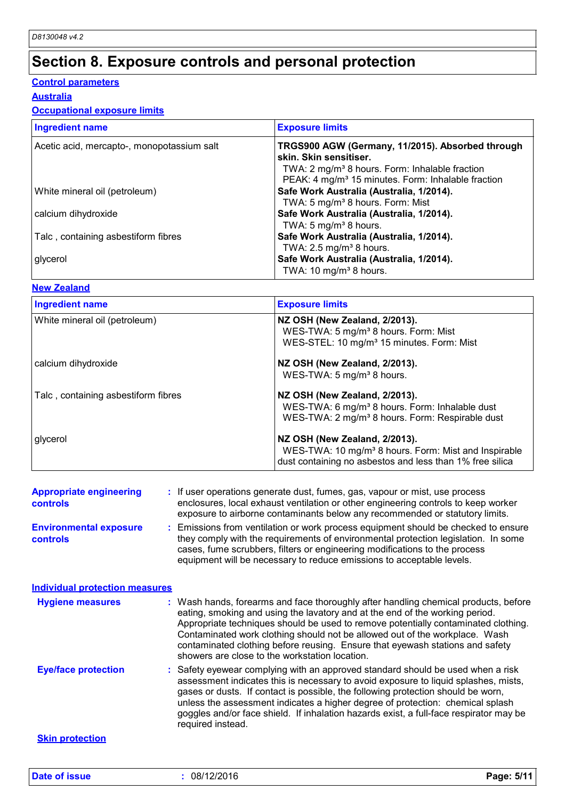## **Section 8. Exposure controls and personal protection**

#### **Control parameters**

**Australia**

#### **Occupational exposure limits**

| <b>Ingredient name</b>                     | <b>Exposure limits</b>                                                                                                                                     |
|--------------------------------------------|------------------------------------------------------------------------------------------------------------------------------------------------------------|
| Acetic acid, mercapto-, monopotassium salt | TRGS900 AGW (Germany, 11/2015). Absorbed through<br>skin. Skin sensitiser.<br>TWA: 2 mg/m <sup>3</sup> 8 hours. Form: Inhalable fraction                   |
| White mineral oil (petroleum)              | PEAK: 4 mg/m <sup>3</sup> 15 minutes. Form: Inhalable fraction<br>Safe Work Australia (Australia, 1/2014).<br>TWA: 5 mg/m <sup>3</sup> 8 hours. Form: Mist |
| calcium dihydroxide                        | Safe Work Australia (Australia, 1/2014).<br>TWA: 5 mg/m <sup>3</sup> 8 hours.                                                                              |
| Talc, containing asbestiform fibres        | Safe Work Australia (Australia, 1/2014).<br>TWA: $2.5 \text{ mg/m}^3$ 8 hours.                                                                             |
| glycerol                                   | Safe Work Australia (Australia, 1/2014).<br>TWA: 10 mg/m <sup>3</sup> 8 hours.                                                                             |

#### **New Zealand**

| <b>Ingredient name</b>              | <b>Exposure limits</b>                                           |
|-------------------------------------|------------------------------------------------------------------|
| White mineral oil (petroleum)       | NZ OSH (New Zealand, 2/2013).                                    |
|                                     | WES-TWA: 5 mg/m <sup>3</sup> 8 hours. Form: Mist                 |
|                                     | WES-STEL: 10 mg/m <sup>3</sup> 15 minutes. Form: Mist            |
| calcium dihydroxide                 | NZ OSH (New Zealand, 2/2013).                                    |
|                                     | WES-TWA: 5 mg/m <sup>3</sup> 8 hours.                            |
| Talc, containing asbestiform fibres | NZ OSH (New Zealand, 2/2013).                                    |
|                                     | WES-TWA: 6 mg/m <sup>3</sup> 8 hours. Form: Inhalable dust       |
|                                     | WES-TWA: 2 mg/m <sup>3</sup> 8 hours. Form: Respirable dust      |
| glycerol                            | NZ OSH (New Zealand, 2/2013).                                    |
|                                     | WES-TWA: 10 mg/m <sup>3</sup> 8 hours. Form: Mist and Inspirable |
|                                     | dust containing no asbestos and less than 1% free silica         |

| <b>Appropriate engineering</b><br><b>controls</b> | : If user operations generate dust, fumes, gas, vapour or mist, use process<br>enclosures, local exhaust ventilation or other engineering controls to keep worker<br>exposure to airborne contaminants below any recommended or statutory limits.                                                                                                                                                                                                                           |
|---------------------------------------------------|-----------------------------------------------------------------------------------------------------------------------------------------------------------------------------------------------------------------------------------------------------------------------------------------------------------------------------------------------------------------------------------------------------------------------------------------------------------------------------|
| <b>Environmental exposure</b><br><b>controls</b>  | : Emissions from ventilation or work process equipment should be checked to ensure<br>they comply with the requirements of environmental protection legislation. In some<br>cases, fume scrubbers, filters or engineering modifications to the process<br>equipment will be necessary to reduce emissions to acceptable levels.                                                                                                                                             |
| <b>Individual protection measures</b>             |                                                                                                                                                                                                                                                                                                                                                                                                                                                                             |
| <b>Hygiene measures</b>                           | : Wash hands, forearms and face thoroughly after handling chemical products, before<br>eating, smoking and using the lavatory and at the end of the working period.<br>Appropriate techniques should be used to remove potentially contaminated clothing.<br>Contaminated work clothing should not be allowed out of the workplace. Wash<br>contaminated clothing before reusing. Ensure that eyewash stations and safety<br>showers are close to the workstation location. |
| <b>Eye/face protection</b>                        | : Safety eyewear complying with an approved standard should be used when a risk<br>assessment indicates this is necessary to avoid exposure to liquid splashes, mists,<br>gases or dusts. If contact is possible, the following protection should be worn,<br>unless the assessment indicates a higher degree of protection: chemical splash<br>goggles and/or face shield. If inhalation hazards exist, a full-face respirator may be<br>required instead.                 |
| <b>Skin protection</b>                            |                                                                                                                                                                                                                                                                                                                                                                                                                                                                             |
|                                                   |                                                                                                                                                                                                                                                                                                                                                                                                                                                                             |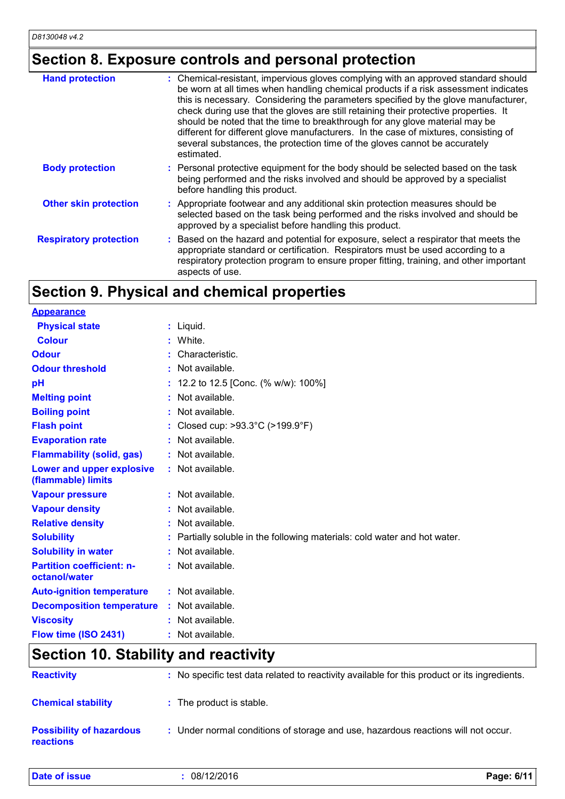## **Section 8. Exposure controls and personal protection**

| <b>Hand protection</b>        | : Chemical-resistant, impervious gloves complying with an approved standard should<br>be worn at all times when handling chemical products if a risk assessment indicates<br>this is necessary. Considering the parameters specified by the glove manufacturer,<br>check during use that the gloves are still retaining their protective properties. It<br>should be noted that the time to breakthrough for any glove material may be<br>different for different glove manufacturers. In the case of mixtures, consisting of<br>several substances, the protection time of the gloves cannot be accurately<br>estimated. |
|-------------------------------|---------------------------------------------------------------------------------------------------------------------------------------------------------------------------------------------------------------------------------------------------------------------------------------------------------------------------------------------------------------------------------------------------------------------------------------------------------------------------------------------------------------------------------------------------------------------------------------------------------------------------|
| <b>Body protection</b>        | : Personal protective equipment for the body should be selected based on the task<br>being performed and the risks involved and should be approved by a specialist<br>before handling this product.                                                                                                                                                                                                                                                                                                                                                                                                                       |
| <b>Other skin protection</b>  | : Appropriate footwear and any additional skin protection measures should be<br>selected based on the task being performed and the risks involved and should be<br>approved by a specialist before handling this product.                                                                                                                                                                                                                                                                                                                                                                                                 |
| <b>Respiratory protection</b> | Based on the hazard and potential for exposure, select a respirator that meets the<br>appropriate standard or certification. Respirators must be used according to a<br>respiratory protection program to ensure proper fitting, training, and other important<br>aspects of use.                                                                                                                                                                                                                                                                                                                                         |

## **Section 9. Physical and chemical properties**

| <b>Appearance</b>                                 |                                                                           |
|---------------------------------------------------|---------------------------------------------------------------------------|
| <b>Physical state</b>                             | $:$ Liquid.                                                               |
| <b>Colour</b>                                     | White.                                                                    |
| <b>Odour</b>                                      | Characteristic.                                                           |
| <b>Odour threshold</b>                            | $:$ Not available.                                                        |
| pH                                                | 12.2 to 12.5 [Conc. (% w/w): 100%]                                        |
| <b>Melting point</b>                              | : Not available.                                                          |
| <b>Boiling point</b>                              | : Not available.                                                          |
| <b>Flash point</b>                                | : Closed cup: >93.3°C (>199.9°F)                                          |
| <b>Evaporation rate</b>                           | : Not available.                                                          |
| <b>Flammability (solid, gas)</b>                  | : Not available.                                                          |
| Lower and upper explosive<br>(flammable) limits   | : Not available.                                                          |
| <b>Vapour pressure</b>                            | : Not available.                                                          |
| <b>Vapour density</b>                             | : Not available.                                                          |
| <b>Relative density</b>                           | : Not available.                                                          |
| <b>Solubility</b>                                 | : Partially soluble in the following materials: cold water and hot water. |
| <b>Solubility in water</b>                        | : Not available.                                                          |
| <b>Partition coefficient: n-</b><br>octanol/water | : Not available.                                                          |
| <b>Auto-ignition temperature</b>                  | : Not available.                                                          |
| <b>Decomposition temperature</b>                  | : Not available.                                                          |
| <b>Viscosity</b>                                  | : Not available.                                                          |
| Flow time (ISO 2431)                              | : Not available.                                                          |

## **Section 10. Stability and reactivity**

| <b>Reactivity</b>                                   | : No specific test data related to reactivity available for this product or its ingredients. |
|-----------------------------------------------------|----------------------------------------------------------------------------------------------|
| <b>Chemical stability</b>                           | : The product is stable.                                                                     |
| <b>Possibility of hazardous</b><br><b>reactions</b> | : Under normal conditions of storage and use, hazardous reactions will not occur.            |

| <b>Date of issue</b> | 08/12/2016 | Page: 6/11 |
|----------------------|------------|------------|
|----------------------|------------|------------|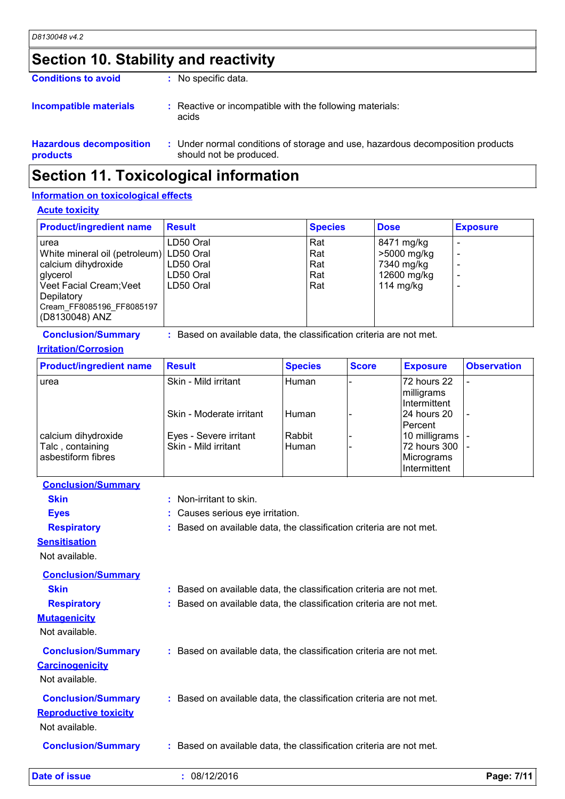## **Section 10. Stability and reactivity**

| <b>Conditions to avoid</b>                 | : No specific data.                                                                                       |
|--------------------------------------------|-----------------------------------------------------------------------------------------------------------|
| <b>Incompatible materials</b>              | : Reactive or incompatible with the following materials:<br>acids                                         |
| <b>Hazardous decomposition</b><br>products | : Under normal conditions of storage and use, hazardous decomposition products<br>should not be produced. |

## **Section 11. Toxicological information**

#### **Information on toxicological effects**

#### **Acute toxicity**

| <b>Product/ingredient name</b>                                                                                                                                             | <b>Result</b>                                    | <b>Species</b>                  | <b>Dose</b>                                                           | <b>Exposure</b> |
|----------------------------------------------------------------------------------------------------------------------------------------------------------------------------|--------------------------------------------------|---------------------------------|-----------------------------------------------------------------------|-----------------|
| urea<br>White mineral oil (petroleum) LD50 Oral<br>calcium dihydroxide<br>glycerol<br>Veet Facial Cream; Veet<br>Depilatory<br>Cream FF8085196 FF8085197<br>(D8130048) ANZ | LD50 Oral<br>LD50 Oral<br>LD50 Oral<br>LD50 Oral | Rat<br>Rat<br>Rat<br>Rat<br>Rat | 8471 mg/kg<br>>5000 mg/kg<br>7340 mg/kg<br>12600 mg/kg<br>114 $mg/kg$ |                 |

| <b>Conclusion/Summary</b> |  | Based on available data, the classification criteria are not met. |  |
|---------------------------|--|-------------------------------------------------------------------|--|
|---------------------------|--|-------------------------------------------------------------------|--|

#### **Irritation/Corrosion**

| <b>Product/ingredient name</b>                                | <b>Result</b>                                  | <b>Species</b>    | <b>Score</b> | <b>Exposure</b>                                             | <b>Observation</b> |
|---------------------------------------------------------------|------------------------------------------------|-------------------|--------------|-------------------------------------------------------------|--------------------|
| urea                                                          | Skin - Mild irritant                           | Human             |              | 72 hours 22<br>milligrams<br>Intermittent                   |                    |
|                                                               | Skin - Moderate irritant                       | l Human           |              | l24 hours 20<br>lPercent                                    |                    |
| calcium dihydroxide<br>Talc, containing<br>asbestiform fibres | Eyes - Severe irritant<br>Skin - Mild irritant | Rabbit<br>i Human |              | 10 milligrams<br>72 hours 300<br>Micrograms<br>Intermittent |                    |

- **Conclusion/Summary**
	- **Skin :** Non-irritant to skin.
	-
- 
- 

**Eyes :** Causes serious eye irritation.

**Respiratory :** Based on available data, the classification criteria are not met.

#### **Sensitisation**

Not available.

| Date of issue                                                               | : 08/12/2016                                                                                                                               | Page: 7/11 |
|-----------------------------------------------------------------------------|--------------------------------------------------------------------------------------------------------------------------------------------|------------|
| <b>Conclusion/Summary</b>                                                   | : Based on available data, the classification criteria are not met.                                                                        |            |
| <b>Conclusion/Summary</b><br><b>Reproductive toxicity</b><br>Not available. | : Based on available data, the classification criteria are not met.                                                                        |            |
| <b>Conclusion/Summary</b><br><b>Carcinogenicity</b><br>Not available.       | : Based on available data, the classification criteria are not met.                                                                        |            |
| <b>Skin</b><br><b>Respiratory</b><br><b>Mutagenicity</b><br>Not available.  | : Based on available data, the classification criteria are not met.<br>: Based on available data, the classification criteria are not met. |            |
| <b>Conclusion/Summary</b>                                                   |                                                                                                                                            |            |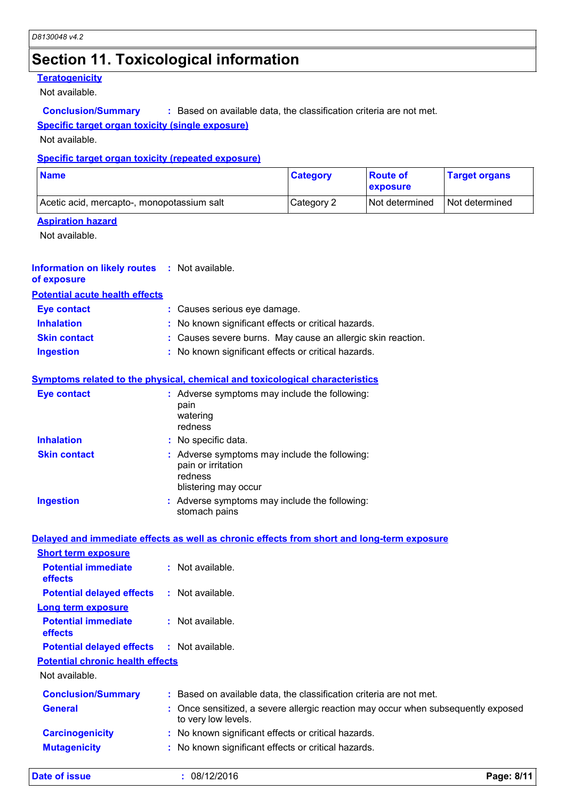## **Section 11. Toxicological information**

#### **Teratogenicity**

Not available.

**Conclusion/Summary :** Based on available data, the classification criteria are not met.

#### **Specific target organ toxicity (single exposure)**

Not available.

#### **Specific target organ toxicity (repeated exposure)**

| <b>Name</b>                                | <b>Category</b> | <b>Route of</b><br><b>exposure</b> | <b>Target organs</b> |
|--------------------------------------------|-----------------|------------------------------------|----------------------|
| Acetic acid, mercapto-, monopotassium salt | Category 2      | <b>Not determined</b>              | Not determined       |

#### **Aspiration hazard**

Not available.

| <b>Information on likely routes : Not available.</b> |  |
|------------------------------------------------------|--|
| of exposure                                          |  |

**Potential acute health effects**

| Eye contact         | : Causes serious eye damage.                                |
|---------------------|-------------------------------------------------------------|
| <b>Inhalation</b>   | : No known significant effects or critical hazards.         |
| <b>Skin contact</b> | : Causes severe burns. May cause an allergic skin reaction. |
| <b>Ingestion</b>    | : No known significant effects or critical hazards.         |

| <b>Eye contact</b>  | : Adverse symptoms may include the following:<br>pain<br>watering<br>redness                           |  |
|---------------------|--------------------------------------------------------------------------------------------------------|--|
| <b>Inhalation</b>   | : No specific data.                                                                                    |  |
| <b>Skin contact</b> | : Adverse symptoms may include the following:<br>pain or irritation<br>redness<br>blistering may occur |  |
| <b>Ingestion</b>    | : Adverse symptoms may include the following:<br>stomach pains                                         |  |

#### **Delayed and immediate effects as well as chronic effects from short and long-term exposure**

| <b>Short term exposure</b>                   |                                                                                                          |
|----------------------------------------------|----------------------------------------------------------------------------------------------------------|
| <b>Potential immediate</b><br><b>effects</b> | $\therefore$ Not available.                                                                              |
| <b>Potential delayed effects</b>             | $:$ Not available.                                                                                       |
| Long term exposure                           |                                                                                                          |
| <b>Potential immediate</b><br><b>effects</b> | : Not available.                                                                                         |
| <b>Potential delayed effects</b>             | : Not available.                                                                                         |
| <b>Potential chronic health effects</b>      |                                                                                                          |
| Not available.                               |                                                                                                          |
| <b>Conclusion/Summary</b>                    | : Based on available data, the classification criteria are not met.                                      |
| <b>General</b>                               | : Once sensitized, a severe allergic reaction may occur when subsequently exposed<br>to very low levels. |
| <b>Carcinogenicity</b>                       | : No known significant effects or critical hazards.                                                      |
| <b>Mutagenicity</b>                          | : No known significant effects or critical hazards.                                                      |
|                                              |                                                                                                          |

**Date of issue :** 08/12/2016 **Page: 8/11**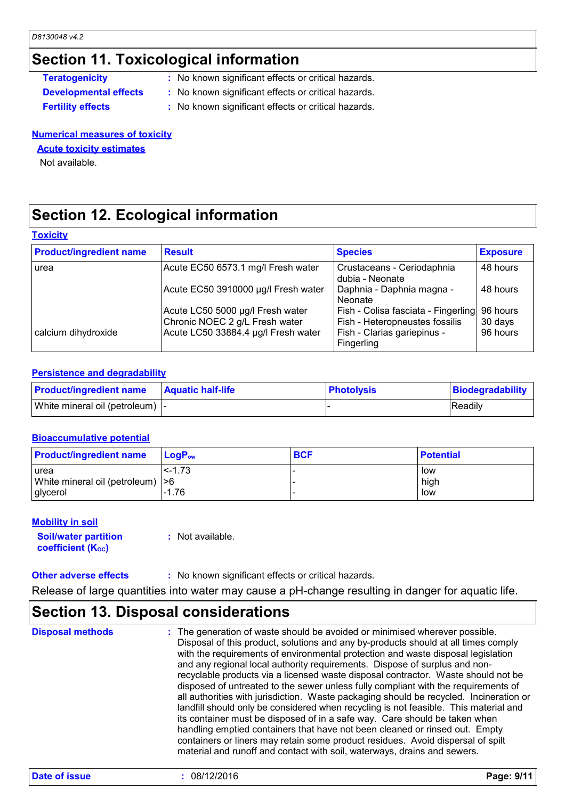### **Section 11. Toxicological information**

- **Teratogenicity** : No known significant effects or critical hazards.
- **Developmental effects :** No known significant effects or critical hazards.
- 
- **Fertility effects :** No known significant effects or critical hazards.

**Numerical measures of toxicity**

**Acute toxicity estimates**

Not available.

### **Section 12. Ecological information**

#### **Toxicity**

| <b>Product/ingredient name</b> | <b>Result</b>                                                      | <b>Species</b>                                                        | <b>Exposure</b>     |
|--------------------------------|--------------------------------------------------------------------|-----------------------------------------------------------------------|---------------------|
| l urea                         | Acute EC50 6573.1 mg/l Fresh water                                 | Crustaceans - Ceriodaphnia<br>dubia - Neonate                         | 48 hours            |
|                                | Acute EC50 3910000 µg/l Fresh water                                | Daphnia - Daphnia magna -<br>Neonate                                  | 48 hours            |
|                                | Acute LC50 5000 µg/l Fresh water<br>Chronic NOEC 2 g/L Fresh water | Fish - Colisa fasciata - Fingerling<br>Fish - Heteropneustes fossilis | 96 hours<br>30 days |
| calcium dihydroxide            | Acute LC50 33884.4 µg/l Fresh water                                | Fish - Clarias gariepinus -<br>Fingerling                             | 96 hours            |

#### **Persistence and degradability**

| <b>Product/ingredient name</b>   | <b>⊩Aquatic half-life</b> | <b>Photolysis</b> | Biodegradability |
|----------------------------------|---------------------------|-------------------|------------------|
| White mineral oil (petroleum)  - |                           |                   | <b>Readily</b>   |

#### **Bioaccumulative potential**

| <b>Product/ingredient name</b>                               | <b>LogP</b> <sub>ow</sub> | <b>BCF</b> | <b>Potential</b>   |
|--------------------------------------------------------------|---------------------------|------------|--------------------|
| <b>urea</b><br>White mineral oil (petroleum)  >6<br>glycerol | $\leq -1.73$<br>$-1.76$   |            | low<br>high<br>low |

#### **Mobility in soil**

**Soil/water partition coefficient (Koc)** 

**:** Not available.

#### **Other adverse effects** : No known significant effects or critical hazards.

Release of large quantities into water may cause a pH-change resulting in danger for aquatic life.

### **Section 13. Disposal considerations**

The generation of waste should be avoided or minimised wherever possible. Disposal of this product, solutions and any by-products should at all times comply with the requirements of environmental protection and waste disposal legislation and any regional local authority requirements. Dispose of surplus and nonrecyclable products via a licensed waste disposal contractor. Waste should not be disposed of untreated to the sewer unless fully compliant with the requirements of all authorities with jurisdiction. Waste packaging should be recycled. Incineration or landfill should only be considered when recycling is not feasible. This material and its container must be disposed of in a safe way. Care should be taken when handling emptied containers that have not been cleaned or rinsed out. Empty containers or liners may retain some product residues. Avoid dispersal of spilt material and runoff and contact with soil, waterways, drains and sewers. **Disposal methods :**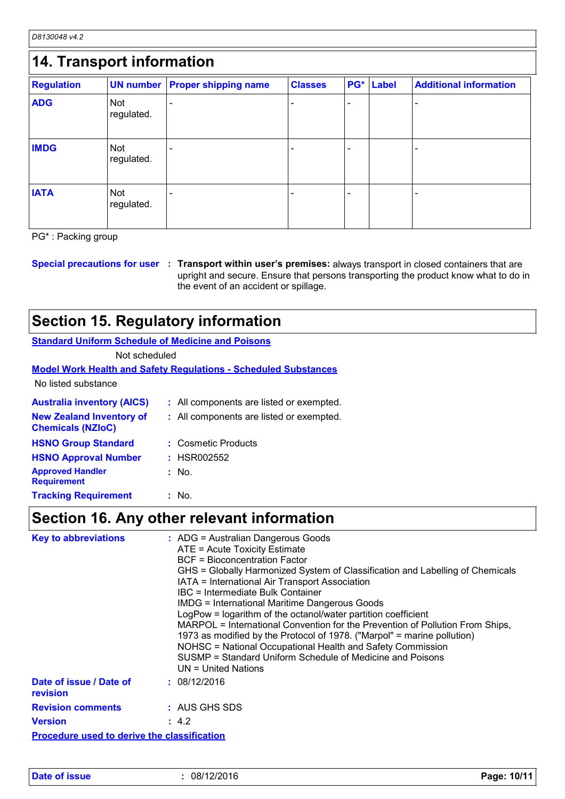*D8130048 v4.2*

| 14. Transport information |                          |                             |                |     |              |                               |
|---------------------------|--------------------------|-----------------------------|----------------|-----|--------------|-------------------------------|
| <b>Regulation</b>         | <b>UN number</b>         | <b>Proper shipping name</b> | <b>Classes</b> | PG* | <b>Label</b> | <b>Additional information</b> |
| <b>ADG</b>                | <b>Not</b><br>regulated. |                             |                |     |              |                               |
| <b>IMDG</b>               | <b>Not</b><br>regulated. |                             |                |     |              |                               |
| <b>IATA</b>               | <b>Not</b><br>regulated. |                             |                | ۰   |              |                               |

PG\* : Packing group

**Special precautions for user Transport within user's premises:** always transport in closed containers that are **:** upright and secure. Ensure that persons transporting the product know what to do in the event of an accident or spillage.

### **Section 15. Regulatory information**

**Standard Uniform Schedule of Medicine and Poisons**

Not scheduled

#### **Model Work Health and Safety Regulations - Scheduled Substances**

No listed substance

| <b>Australia inventory (AICS)</b><br><b>New Zealand Inventory of</b><br><b>Chemicals (NZIoC)</b> | : All components are listed or exempted.<br>: All components are listed or exempted. |
|--------------------------------------------------------------------------------------------------|--------------------------------------------------------------------------------------|
| <b>HSNO Group Standard</b><br><b>HSNO Approval Number</b>                                        | : Cosmetic Products<br>: HSR002552                                                   |
| <b>Approved Handler</b><br><b>Requirement</b>                                                    | : No.                                                                                |
| <b>Tracking Requirement</b>                                                                      | : No.                                                                                |

## **Section 16. Any other relevant information**

| <b>Key to abbreviations</b>                        | : ADG = Australian Dangerous Goods<br>ATE = Acute Toxicity Estimate<br>BCF = Bioconcentration Factor<br>GHS = Globally Harmonized System of Classification and Labelling of Chemicals<br>IATA = International Air Transport Association<br>IBC = Intermediate Bulk Container<br><b>IMDG = International Maritime Dangerous Goods</b>                                          |
|----------------------------------------------------|-------------------------------------------------------------------------------------------------------------------------------------------------------------------------------------------------------------------------------------------------------------------------------------------------------------------------------------------------------------------------------|
|                                                    | LogPow = logarithm of the octanol/water partition coefficient<br>MARPOL = International Convention for the Prevention of Pollution From Ships,<br>1973 as modified by the Protocol of 1978. ("Marpol" = marine pollution)<br>NOHSC = National Occupational Health and Safety Commission<br>SUSMP = Standard Uniform Schedule of Medicine and Poisons<br>$UN = United Nations$ |
| Date of issue / Date of<br>revision                | : 08/12/2016                                                                                                                                                                                                                                                                                                                                                                  |
| <b>Revision comments</b>                           | : AUS GHS SDS                                                                                                                                                                                                                                                                                                                                                                 |
| <b>Version</b>                                     | : 4.2                                                                                                                                                                                                                                                                                                                                                                         |
| <b>Procedure used to derive the classification</b> |                                                                                                                                                                                                                                                                                                                                                                               |

**Date of issue :** 08/12/2016 **Page: 10/11**